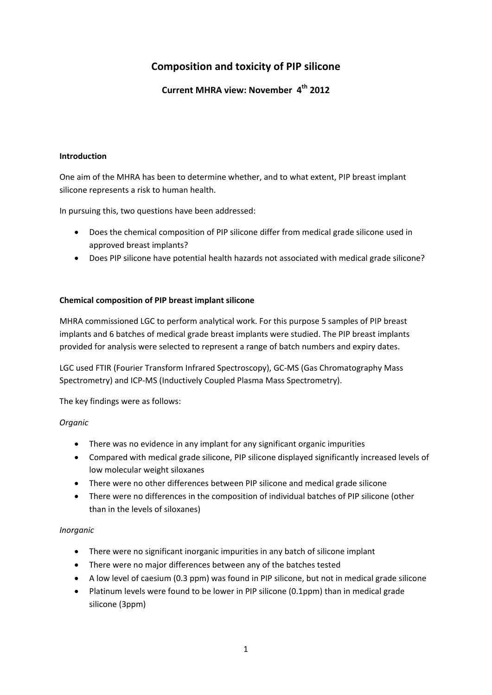# **Composition and toxicity of PIP silicone**

**Current MHRA view: November 4th 2012**

## **Introduction**

One aim of the MHRA has been to determine whether, and to what extent, PIP breast implant silicone represents a risk to human health.

In pursuing this, two questions have been addressed:

- Does the chemical composition of PIP silicone differ from medical grade silicone used in approved breast implants?
- Does PIP silicone have potential health hazards not associated with medical grade silicone?

# **Chemical composition of PIP breast implant silicone**

MHRA commissioned LGC to perform analytical work. For this purpose 5 samples of PIP breast implants and 6 batches of medical grade breast implants were studied. The PIP breast implants provided for analysis were selected to represent a range of batch numbers and expiry dates.

LGC used FTIR (Fourier Transform Infrared Spectroscopy), GC‐MS (Gas Chromatography Mass Spectrometry) and ICP‐MS (Inductively Coupled Plasma Mass Spectrometry).

The key findings were as follows:

# *Organic*

- There was no evidence in any implant for any significant organic impurities
- Compared with medical grade silicone, PIP silicone displayed significantly increased levels of low molecular weight siloxanes
- There were no other differences between PIP silicone and medical grade silicone
- There were no differences in the composition of individual batches of PIP silicone (other than in the levels of siloxanes)

# *Inorganic*

- There were no significant inorganic impurities in any batch of silicone implant
- There were no major differences between any of the batches tested
- A low level of caesium (0.3 ppm) was found in PIP silicone, but not in medical grade silicone
- Platinum levels were found to be lower in PIP silicone (0.1ppm) than in medical grade silicone (3ppm)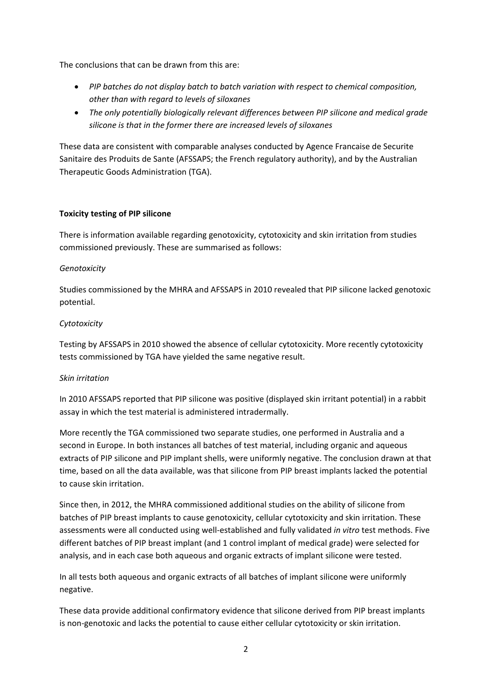The conclusions that can be drawn from this are:

- *PIP batches do not display batch to batch variation with respect to chemical composition, other than with regard to levels of siloxanes*
- *The only potentially biologically relevant differences between PIP silicone and medical grade silicone is that in the former there are increased levels of siloxanes*

These data are consistent with comparable analyses conducted by Agence Francaise de Securite Sanitaire des Produits de Sante (AFSSAPS; the French regulatory authority), and by the Australian Therapeutic Goods Administration (TGA).

## **Toxicity testing of PIP silicone**

There is information available regarding genotoxicity, cytotoxicity and skin irritation from studies commissioned previously. These are summarised as follows:

## *Genotoxicity*

Studies commissioned by the MHRA and AFSSAPS in 2010 revealed that PIP silicone lacked genotoxic potential.

# *Cytotoxicity*

Testing by AFSSAPS in 2010 showed the absence of cellular cytotoxicity. More recently cytotoxicity tests commissioned by TGA have yielded the same negative result.

#### *Skin irritation*

In 2010 AFSSAPS reported that PIP silicone was positive (displayed skin irritant potential) in a rabbit assay in which the test material is administered intradermally.

More recently the TGA commissioned two separate studies, one performed in Australia and a second in Europe. In both instances all batches of test material, including organic and aqueous extracts of PIP silicone and PIP implant shells, were uniformly negative. The conclusion drawn at that time, based on all the data available, was that silicone from PIP breast implants lacked the potential to cause skin irritation.

Since then, in 2012, the MHRA commissioned additional studies on the ability of silicone from batches of PIP breast implants to cause genotoxicity, cellular cytotoxicity and skin irritation. These assessments were all conducted using well‐established and fully validated *in vitro* test methods. Five different batches of PIP breast implant (and 1 control implant of medical grade) were selected for analysis, and in each case both aqueous and organic extracts of implant silicone were tested.

In all tests both aqueous and organic extracts of all batches of implant silicone were uniformly negative.

These data provide additional confirmatory evidence that silicone derived from PIP breast implants is non‐genotoxic and lacks the potential to cause either cellular cytotoxicity or skin irritation.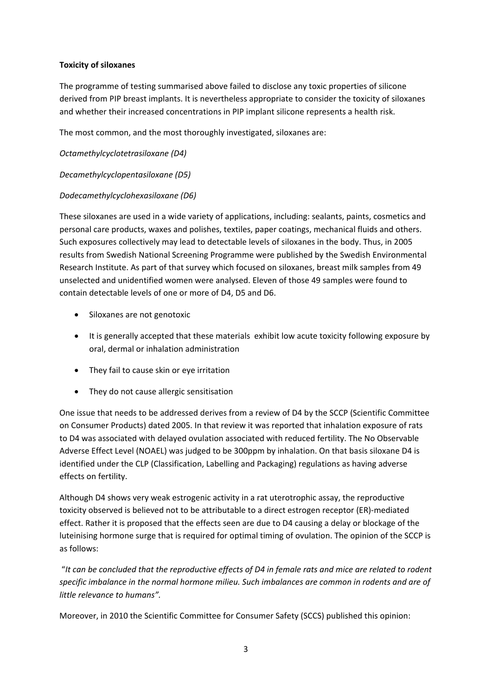# **Toxicity of siloxanes**

The programme of testing summarised above failed to disclose any toxic properties of silicone derived from PIP breast implants. It is nevertheless appropriate to consider the toxicity of siloxanes and whether their increased concentrations in PIP implant silicone represents a health risk.

The most common, and the most thoroughly investigated, siloxanes are:

*Octamethylcyclotetrasiloxane (D4)*

*Decamethylcyclopentasiloxane (D5)*

## *Dodecamethylcyclohexasiloxane (D6)*

These siloxanes are used in a wide variety of applications, including: sealants, paints, cosmetics and personal care products, waxes and polishes, textiles, paper coatings, mechanical fluids and others. Such exposures collectively may lead to detectable levels of siloxanes in the body. Thus, in 2005 results from Swedish National Screening Programme were published by the Swedish Environmental Research Institute. As part of that survey which focused on siloxanes, breast milk samples from 49 unselected and unidentified women were analysed. Eleven of those 49 samples were found to contain detectable levels of one or more of D4, D5 and D6.

- Siloxanes are not genotoxic
- It is generally accepted that these materials exhibit low acute toxicity following exposure by oral, dermal or inhalation administration
- They fail to cause skin or eye irritation
- They do not cause allergic sensitisation

One issue that needs to be addressed derives from a review of D4 by the SCCP (Scientific Committee on Consumer Products) dated 2005. In that review it was reported that inhalation exposure of rats to D4 was associated with delayed ovulation associated with reduced fertility. The No Observable Adverse Effect Level (NOAEL) was judged to be 300ppm by inhalation. On that basis siloxane D4 is identified under the CLP (Classification, Labelling and Packaging) regulations as having adverse effects on fertility.

Although D4 shows very weak estrogenic activity in a rat uterotrophic assay, the reproductive toxicity observed is believed not to be attributable to a direct estrogen receptor (ER)‐mediated effect. Rather it is proposed that the effects seen are due to D4 causing a delay or blockage of the luteinising hormone surge that is required for optimal timing of ovulation. The opinion of the SCCP is as follows:

"It can be concluded that the reproductive effects of D4 in female rats and mice are related to rodent *specific imbalance in the normal hormone milieu. Such imbalances are common in rodents and are of little relevance to humans".*

Moreover, in 2010 the Scientific Committee for Consumer Safety (SCCS) published this opinion: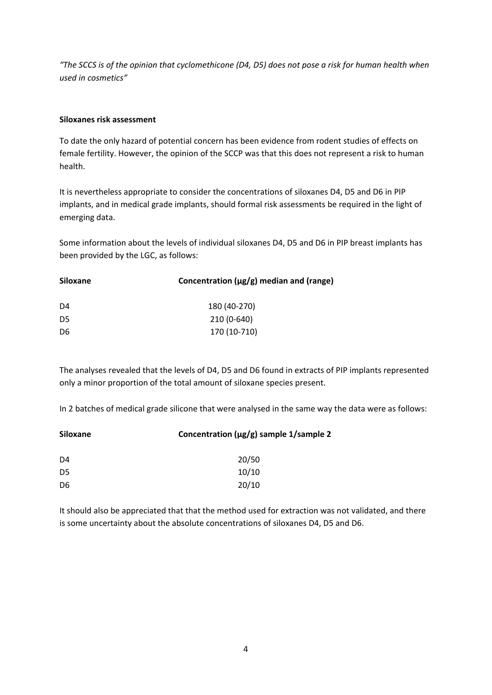"The SCCS is of the opinion that cyclomethicone (D4, D5) does not pose a risk for human health when *used in cosmetics"*

#### **Siloxanes risk assessment**

To date the only hazard of potential concern has been evidence from rodent studies of effects on female fertility. However, the opinion of the SCCP was that this does not represent a risk to human health.

It is nevertheless appropriate to consider the concentrations of siloxanes D4, D5 and D6 in PIP implants, and in medical grade implants, should formal risk assessments be required in the light of emerging data.

Some information about the levels of individual siloxanes D4, D5 and D6 in PIP breast implants has been provided by the LGC, as follows:

| Siloxane | Concentration ( $\mu$ g/g) median and (range) |
|----------|-----------------------------------------------|
| D4       | 180 (40-270)                                  |
| D5       | 210 (0-640)                                   |
| D6       | 170 (10-710)                                  |

The analyses revealed that the levels of D4, D5 and D6 found in extracts of PIP implants represented only a minor proportion of the total amount of siloxane species present.

In 2 batches of medical grade silicone that were analysed in the same way the data were as follows:

| <b>Siloxane</b> | Concentration ( $\mu$ g/g) sample 1/sample 2 |
|-----------------|----------------------------------------------|
| D4              | 20/50                                        |
| D5              | 10/10                                        |
| D6              | 20/10                                        |

It should also be appreciated that that the method used for extraction was not validated, and there is some uncertainty about the absolute concentrations of siloxanes D4, D5 and D6.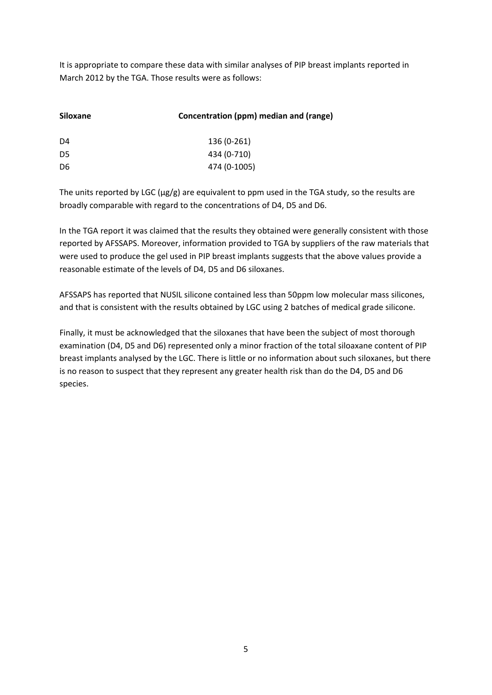It is appropriate to compare these data with similar analyses of PIP breast implants reported in March 2012 by the TGA. Those results were as follows:

| <b>Siloxane</b> | Concentration (ppm) median and (range) |
|-----------------|----------------------------------------|
| D4              | 136 (0-261)                            |
| D <sub>5</sub>  | 434 (0-710)                            |
| D <sub>6</sub>  | 474 (0-1005)                           |
|                 |                                        |

The units reported by LGC ( $\mu$ g/g) are equivalent to ppm used in the TGA study, so the results are broadly comparable with regard to the concentrations of D4, D5 and D6.

In the TGA report it was claimed that the results they obtained were generally consistent with those reported by AFSSAPS. Moreover, information provided to TGA by suppliers of the raw materials that were used to produce the gel used in PIP breast implants suggests that the above values provide a reasonable estimate of the levels of D4, D5 and D6 siloxanes.

AFSSAPS has reported that NUSIL silicone contained less than 50ppm low molecular mass silicones, and that is consistent with the results obtained by LGC using 2 batches of medical grade silicone.

Finally, it must be acknowledged that the siloxanes that have been the subject of most thorough examination (D4, D5 and D6) represented only a minor fraction of the total siloaxane content of PIP breast implants analysed by the LGC. There is little or no information about such siloxanes, but there is no reason to suspect that they represent any greater health risk than do the D4, D5 and D6 species.